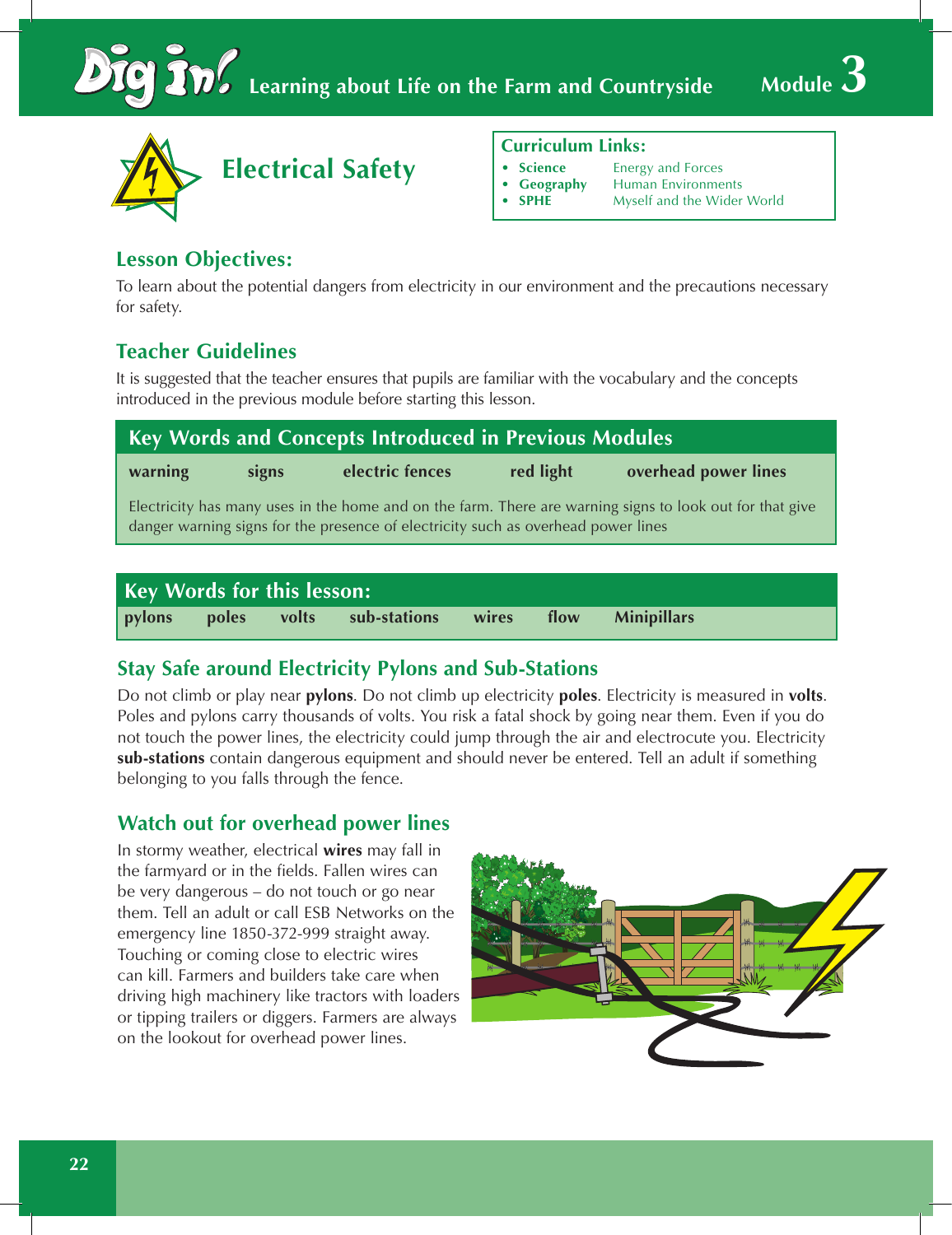



#### **Curriculum Links:**

- **Science • Energy and Forces**
- 
- **•• Geography** Human Environments<br>**•• SPHE** Myself and the Wider **Myself and the Wider World**

## **Lesson Objectives:**

To learn about the potential dangers from electricity in our environment and the precautions necessary for safety.

# **Teacher Guidelines**

It is suggested that the teacher ensures that pupils are familiar with the vocabulary and the concepts introduced in the previous module before starting this lesson.

| <b>Key Words and Concepts Introduced in Previous Modules</b>                                                                                                                                  |       |                 |           |                      |  |  |  |  |  |
|-----------------------------------------------------------------------------------------------------------------------------------------------------------------------------------------------|-------|-----------------|-----------|----------------------|--|--|--|--|--|
| warning                                                                                                                                                                                       | signs | electric fences | red light | overhead power lines |  |  |  |  |  |
| Electricity has many uses in the home and on the farm. There are warning signs to look out for that give<br>danger warning signs for the presence of electricity such as overhead power lines |       |                 |           |                      |  |  |  |  |  |
|                                                                                                                                                                                               |       |                 |           |                      |  |  |  |  |  |

| Key Words for this lesson: |  |  |                                                 |  |  |  |  |  |  |  |
|----------------------------|--|--|-------------------------------------------------|--|--|--|--|--|--|--|
| pylons                     |  |  | poles volts sub-stations wires flow Minipillars |  |  |  |  |  |  |  |

## **Stay Safe around Electricity Pylons and Sub-Stations**

Do not climb or play near **pylons**. Do not climb up electricity **poles**. Electricity is measured in **volts**. Poles and pylons carry thousands of volts. You risk a fatal shock by going near them. Even if you do not touch the power lines, the electricity could jump through the air and electrocute you. Electricity **sub-stations** contain dangerous equipment and should never be entered. Tell an adult if something belonging to you falls through the fence.

## **Watch out for overhead power lines**

In stormy weather, electrical **wires** may fall in the farmyard or in the fields. Fallen wires can be very dangerous – do not touch or go near them. Tell an adult or call ESB Networks on the emergency line 1850-372-999 straight away. Touching or coming close to electric wires can kill. Farmers and builders take care when driving high machinery like tractors with loaders or tipping trailers or diggers. Farmers are always on the lookout for overhead power lines.